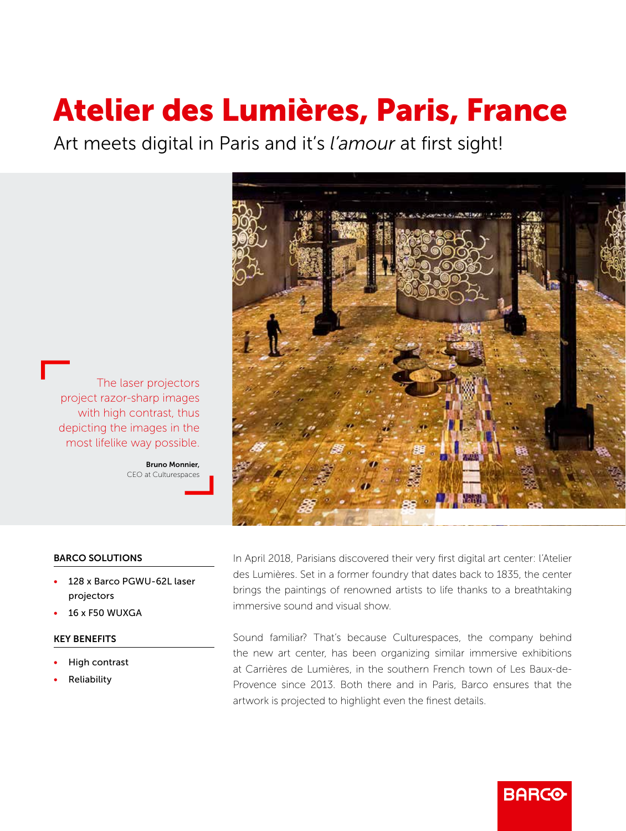# Atelier des Lumières, Paris, France

Art meets digital in Paris and it's *l'amour* at first sight!



The laser projectors project razor-sharp images with high contrast, thus depicting the images in the most lifelike way possible.

> Bruno Monnier, CEO at Culturespaces

# BARCO SOLUTIONS

- 128 x Barco PGWU-62L laser projectors
- 16 x F50 WUXGA

### KEY BENEFITS

- High contrast
- **Reliability**

In April 2018, Parisians discovered their very first digital art center: l'Atelier des Lumières. Set in a former foundry that dates back to 1835, the center brings the paintings of renowned artists to life thanks to a breathtaking immersive sound and visual show.

Sound familiar? That's because Culturespaces, the company behind the new art center, has been organizing similar immersive exhibitions at Carrières de Lumières, in the southern French town of Les Baux-de-Provence since 2013. Both there and in Paris, Barco ensures that the artwork is projected to highlight even the finest details.

**BARCO**